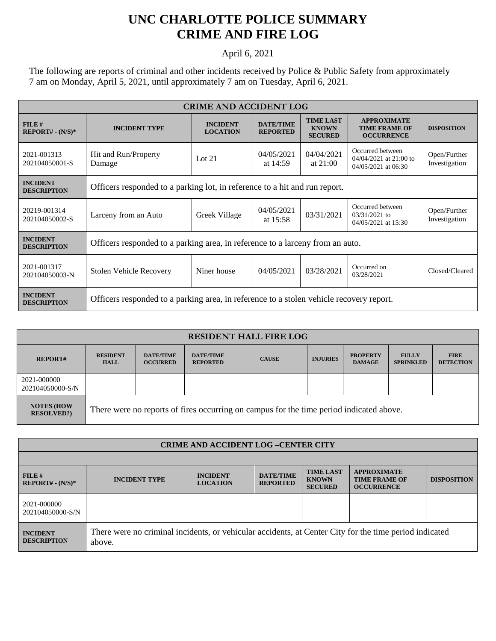## **UNC CHARLOTTE POLICE SUMMARY CRIME AND FIRE LOG**

April 6, 2021

The following are reports of criminal and other incidents received by Police & Public Safety from approximately 7 am on Monday, April 5, 2021, until approximately 7 am on Tuesday, April 6, 2021.

| <b>CRIME AND ACCIDENT LOG</b>         |                                                                                         |                                    |                                     |                                                    |                                                                     |                               |  |  |
|---------------------------------------|-----------------------------------------------------------------------------------------|------------------------------------|-------------------------------------|----------------------------------------------------|---------------------------------------------------------------------|-------------------------------|--|--|
| FILE#<br>$REPORT# - (N/S)*$           | <b>INCIDENT TYPE</b>                                                                    | <b>INCIDENT</b><br><b>LOCATION</b> | <b>DATE/TIME</b><br><b>REPORTED</b> | <b>TIME LAST</b><br><b>KNOWN</b><br><b>SECURED</b> | <b>APPROXIMATE</b><br><b>TIME FRAME OF</b><br><b>OCCURRENCE</b>     | <b>DISPOSITION</b>            |  |  |
| 2021-001313<br>202104050001-S         | Hit and Run/Property<br>Damage                                                          | Lot $21$                           | 04/05/2021<br>at 14:59              | 04/04/2021<br>at $21:00$                           | Occurred between<br>$04/04/2021$ at 21:00 to<br>04/05/2021 at 06:30 | Open/Further<br>Investigation |  |  |
| <b>INCIDENT</b><br><b>DESCRIPTION</b> | Officers responded to a parking lot, in reference to a hit and run report.              |                                    |                                     |                                                    |                                                                     |                               |  |  |
| 20219-001314<br>202104050002-S        | Larceny from an Auto                                                                    | Greek Village                      | 04/05/2021<br>at $15:58$            | 03/31/2021                                         | Occurred between<br>$03/31/2021$ to<br>04/05/2021 at 15:30          | Open/Further<br>Investigation |  |  |
| <b>INCIDENT</b><br><b>DESCRIPTION</b> | Officers responded to a parking area, in reference to a larceny from an auto.           |                                    |                                     |                                                    |                                                                     |                               |  |  |
| 2021-001317<br>202104050003-N         | <b>Stolen Vehicle Recovery</b>                                                          | Niner house                        | 04/05/2021                          | 03/28/2021                                         | Occurred on<br>03/28/2021                                           | Closed/Cleared                |  |  |
| <b>INCIDENT</b><br><b>DESCRIPTION</b> | Officers responded to a parking area, in reference to a stolen vehicle recovery report. |                                    |                                     |                                                    |                                                                     |                               |  |  |

| <b>RESIDENT HALL FIRE LOG</b>          |                                                                                         |                                     |                                     |              |                 |                                  |                                  |                                 |
|----------------------------------------|-----------------------------------------------------------------------------------------|-------------------------------------|-------------------------------------|--------------|-----------------|----------------------------------|----------------------------------|---------------------------------|
| <b>REPORT#</b>                         | <b>RESIDENT</b><br><b>HALL</b>                                                          | <b>DATE/TIME</b><br><b>OCCURRED</b> | <b>DATE/TIME</b><br><b>REPORTED</b> | <b>CAUSE</b> | <b>INJURIES</b> | <b>PROPERTY</b><br><b>DAMAGE</b> | <b>FULLY</b><br><b>SPRINKLED</b> | <b>FIRE</b><br><b>DETECTION</b> |
| 2021-000000<br>202104050000-S/N        |                                                                                         |                                     |                                     |              |                 |                                  |                                  |                                 |
| <b>NOTES (HOW</b><br><b>RESOLVED?)</b> | There were no reports of fires occurring on campus for the time period indicated above. |                                     |                                     |              |                 |                                  |                                  |                                 |

| <b>CRIME AND ACCIDENT LOG-CENTER CITY</b> |                                                                                                                  |                                    |                                     |                                                    |                                                                 |                    |  |
|-------------------------------------------|------------------------------------------------------------------------------------------------------------------|------------------------------------|-------------------------------------|----------------------------------------------------|-----------------------------------------------------------------|--------------------|--|
|                                           |                                                                                                                  |                                    |                                     |                                                    |                                                                 |                    |  |
| FILE#<br>$REPORT# - (N/S)*$               | <b>INCIDENT TYPE</b>                                                                                             | <b>INCIDENT</b><br><b>LOCATION</b> | <b>DATE/TIME</b><br><b>REPORTED</b> | <b>TIME LAST</b><br><b>KNOWN</b><br><b>SECURED</b> | <b>APPROXIMATE</b><br><b>TIME FRAME OF</b><br><b>OCCURRENCE</b> | <b>DISPOSITION</b> |  |
| 2021-000000<br>202104050000-S/N           |                                                                                                                  |                                    |                                     |                                                    |                                                                 |                    |  |
| <b>INCIDENT</b><br><b>DESCRIPTION</b>     | There were no criminal incidents, or vehicular accidents, at Center City for the time period indicated<br>above. |                                    |                                     |                                                    |                                                                 |                    |  |